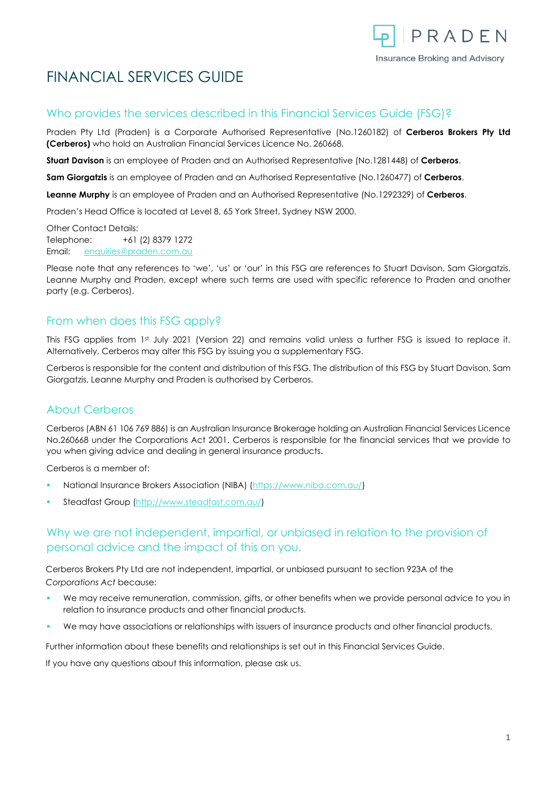

# FINANCIAL SERVICES GUIDE

#### Who provides the services described in this Financial Services Guide (FSG)?

Praden Pty Ltd (Praden) is a Corporate Authorised Representative (No.1260182) of **Cerberos Brokers Pty Ltd (Cerberos)** who hold an Australian Financial Services Licence No. 260668.

**Stuart Davison** is an employee of Praden and an Authorised Representative (No.1281448) of **Cerberos**.

**Sam Giorgatzis** is an employee of Praden and an Authorised Representative (No.1260477) of **Cerberos**.

**Leanne Murphy** is an employee of Praden and an Authorised Representative (No.1292329) of **Cerberos**.

Praden's Head Office is located at Level 8, 65 York Street, Sydney NSW 2000.

Other Contact Details: Telephone: +61 (2) 8379 1272 Email: [enquiries@praden.com.au](mailto:enquiries@praden.com.au)

Please note that any references to 'we', 'us' or 'our' in this FSG are references to Stuart Davison, Sam Giorgatzis, Leanne Murphy and Praden, except where such terms are used with specific reference to Praden and another party (e.g. Cerberos).

#### From when does this FSG apply?

This FSG applies from 1st July 2021 (Version 22) and remains valid unless a further FSG is issued to replace it. Alternatively, Cerberos may alter this FSG by issuing you a supplementary FSG.

Cerberos is responsible for the content and distribution of this FSG. The distribution of this FSG by Stuart Davison, Sam Giorgatzis, Leanne Murphy and Praden is authorised by Cerberos.

#### About Cerberos

Cerberos (ABN 61 106 769 886) is an Australian Insurance Brokerage holding an Australian Financial Services Licence No.260668 under the Corporations Act 2001. Cerberos is responsible for the financial services that we provide to you when giving advice and dealing in general insurance products.

Cerberos is a member of:

- National Insurance Brokers Association (NIBA) [\(https://www.niba.com.au/\)](https://www.niba.com.au/)
- Steadfast Group [\(http://www.steadfast.com.au/\)](http://www.steadfast.com.au/)

## Why we are not independent, impartial, or unbiased in relation to the provision of personal advice and the impact of this on you.

Cerberos Brokers Pty Ltd are not independent, impartial, or unbiased pursuant to section 923A of the *Corporations Act* because:

- We may receive remuneration, commission, gifts, or other benefits when we provide personal advice to you in relation to insurance products and other financial products.
- We may have associations or relationships with issuers of insurance products and other financial products.

Further information about these benefits and relationships is set out in this Financial Services Guide.

If you have any questions about this information, please ask us.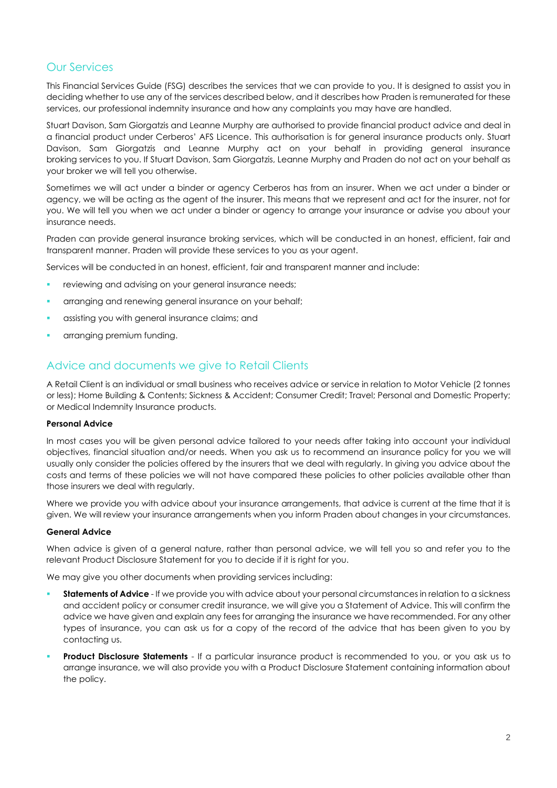## Our Services

This Financial Services Guide (FSG) describes the services that we can provide to you. It is designed to assist you in deciding whether to use any of the services described below, and it describes how Praden is remunerated for these services, our professional indemnity insurance and how any complaints you may have are handled.

Stuart Davison, Sam Giorgatzis and Leanne Murphy are authorised to provide financial product advice and deal in a financial product under Cerberos' AFS Licence. This authorisation is for general insurance products only. Stuart Davison, Sam Giorgatzis and Leanne Murphy act on your behalf in providing general insurance broking services to you. If Stuart Davison, Sam Giorgatzis, Leanne Murphy and Praden do not act on your behalf as your broker we will tell you otherwise.

Sometimes we will act under a binder or agency Cerberos has from an insurer. When we act under a binder or agency, we will be acting as the agent of the insurer. This means that we represent and act for the insurer, not for you. We will tell you when we act under a binder or agency to arrange your insurance or advise you about your insurance needs.

Praden can provide general insurance broking services, which will be conducted in an honest, efficient, fair and transparent manner. Praden will provide these services to you as your agent.

Services will be conducted in an honest, efficient, fair and transparent manner and include:

- reviewing and advising on your general insurance needs;
- arranging and renewing general insurance on your behalf;
- assisting you with general insurance claims; and
- arranging premium funding.

#### Advice and documents we give to Retail Clients

A Retail Client is an individual or small business who receives advice or service in relation to Motor Vehicle (2 tonnes or less); Home Building & Contents; Sickness & Accident; Consumer Credit; Travel; Personal and Domestic Property; or Medical Indemnity Insurance products.

#### **Personal Advice**

In most cases you will be given personal advice tailored to your needs after taking into account your individual objectives, financial situation and/or needs. When you ask us to recommend an insurance policy for you we will usually only consider the policies offered by the insurers that we deal with regularly. In giving you advice about the costs and terms of these policies we will not have compared these policies to other policies available other than those insurers we deal with regularly.

Where we provide you with advice about your insurance arrangements, that advice is current at the time that it is given. We will review your insurance arrangements when you inform Praden about changes in your circumstances.

#### **General Advice**

When advice is given of a general nature, rather than personal advice, we will tell you so and refer you to the relevant Product Disclosure Statement for you to decide if it is right for you.

We may give you other documents when providing services including:

- **Statements of Advice** If we provide you with advice about your personal circumstances in relation to a sickness and accident policy or consumer credit insurance, we will give you a Statement of Advice. This will confirm the advice we have given and explain any fees for arranging the insurance we have recommended. For any other types of insurance, you can ask us for a copy of the record of the advice that has been given to you by contacting us.
- **Product Disclosure Statements** If a particular insurance product is recommended to you, or you ask us to arrange insurance, we will also provide you with a Product Disclosure Statement containing information about the policy.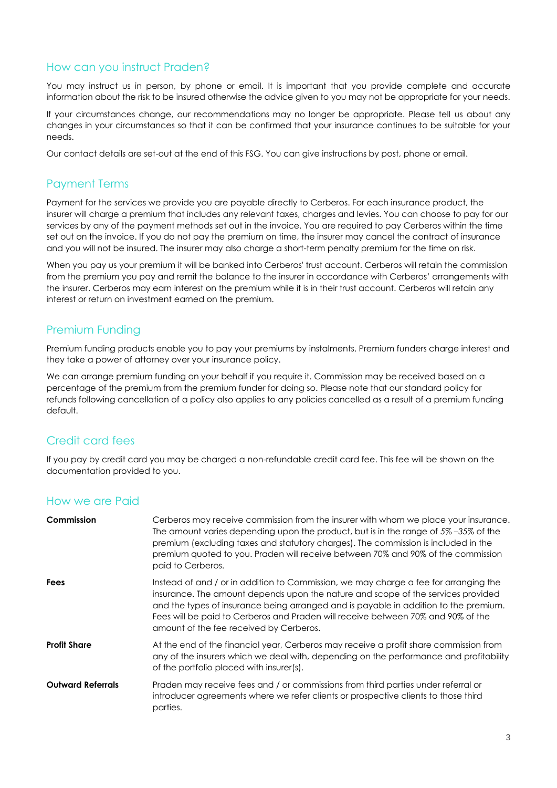#### How can you instruct Praden?

You may instruct us in person, by phone or email. It is important that you provide complete and accurate information about the risk to be insured otherwise the advice given to you may not be appropriate for your needs.

If your circumstances change, our recommendations may no longer be appropriate. Please tell us about any changes in your circumstances so that it can be confirmed that your insurance continues to be suitable for your needs.

Our contact details are set-out at the end of this FSG. You can give instructions by post, phone or email.

#### Payment Terms

Payment for the services we provide you are payable directly to Cerberos. For each insurance product, the insurer will charge a premium that includes any relevant taxes, charges and levies. You can choose to pay for our services by any of the payment methods set out in the invoice. You are required to pay Cerberos within the time set out on the invoice. If you do not pay the premium on time, the insurer may cancel the contract of insurance and you will not be insured. The insurer may also charge a short-term penalty premium for the time on risk.

When you pay us your premium it will be banked into Cerberos' trust account. Cerberos will retain the commission from the premium you pay and remit the balance to the insurer in accordance with Cerberos' arrangements with the insurer. Cerberos may earn interest on the premium while it is in their trust account. Cerberos will retain any interest or return on investment earned on the premium.

#### Premium Funding

Premium funding products enable you to pay your premiums by instalments. Premium funders charge interest and they take a power of attorney over your insurance policy.

We can arrange premium funding on your behalf if you require it. Commission may be received based on a percentage of the premium from the premium funder for doing so. Please note that our standard policy for refunds following cancellation of a policy also applies to any policies cancelled as a result of a premium funding default.

#### Credit card fees

If you pay by credit card you may be charged a non-refundable credit card fee. This fee will be shown on the documentation provided to you.

#### How we are Paid

| Commission               | Cerberos may receive commission from the insurer with whom we place your insurance.<br>The amount varies depending upon the product, but is in the range of 5%-35% of the<br>premium (excluding taxes and statutory charges). The commission is included in the<br>premium quoted to you. Praden will receive between 70% and 90% of the commission<br>paid to Cerberos.                        |
|--------------------------|-------------------------------------------------------------------------------------------------------------------------------------------------------------------------------------------------------------------------------------------------------------------------------------------------------------------------------------------------------------------------------------------------|
| <b>Fees</b>              | Instead of and / or in addition to Commission, we may charge a fee for arranging the<br>insurance. The amount depends upon the nature and scope of the services provided<br>and the types of insurance being arranged and is payable in addition to the premium.<br>Fees will be paid to Cerberos and Praden will receive between 70% and 90% of the<br>amount of the fee received by Cerberos. |
| <b>Profit Share</b>      | At the end of the financial year, Cerberos may receive a profit share commission from<br>any of the insurers which we deal with, depending on the performance and profitability<br>of the portfolio placed with insurer(s).                                                                                                                                                                     |
| <b>Outward Referrals</b> | Praden may receive fees and / or commissions from third parties under referral or<br>introducer agreements where we refer clients or prospective clients to those third<br>parties.                                                                                                                                                                                                             |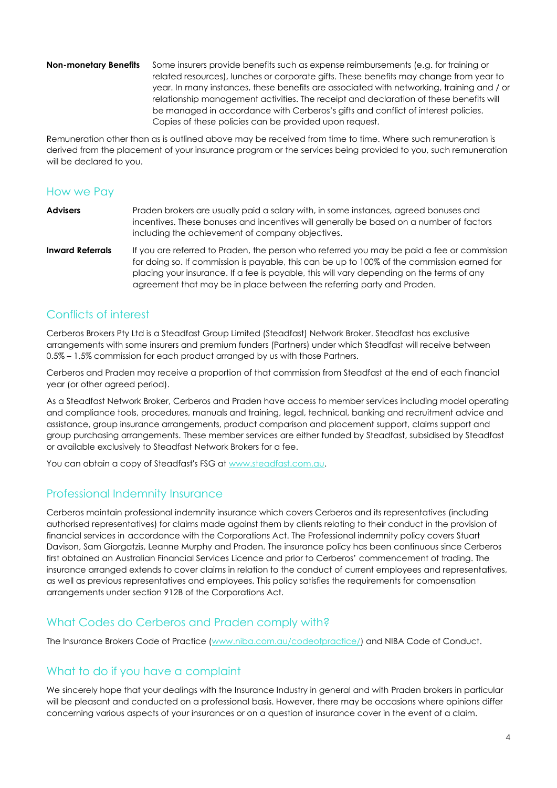**Non-monetary Benefits** Some insurers provide benefits such as expense reimbursements (e.g. for training or related resources), lunches or corporate gifts. These benefits may change from year to year. In many instances, these benefits are associated with networking, training and / or relationship management activities. The receipt and declaration of these benefits will be managed in accordance with Cerberos's gifts and conflict of interest policies. Copies of these policies can be provided upon request.

Remuneration other than as is outlined above may be received from time to time. Where such remuneration is derived from the placement of your insurance program or the services being provided to you, such remuneration will be declared to you.

#### How we Pay

|                              | incentives. These bonuses and incentives will generally be based on a number of factors<br>including the achievement of company objectives. |
|------------------------------|---------------------------------------------------------------------------------------------------------------------------------------------|
| الماستمر والمسترور والمستحدث | If you are referred to Draders the person who referred you people a paid a fee are consider                                                 |

**Inward Referrals** If you are referred to Praden, the person who referred you may be paid a fee or commission for doing so. If commission is payable, this can be up to 100% of the commission earned for placing your insurance. If a fee is payable, this will vary depending on the terms of any agreement that may be in place between the referring party and Praden.

#### Conflicts of interest

Cerberos Brokers Pty Ltd is a Steadfast Group Limited (Steadfast) Network Broker. Steadfast has exclusive arrangements with some insurers and premium funders (Partners) under which Steadfast will receive between 0.5% – 1.5% commission for each product arranged by us with those Partners.

Cerberos and Praden may receive a proportion of that commission from Steadfast at the end of each financial year (or other agreed period).

As a Steadfast Network Broker, Cerberos and Praden have access to member services including model operating and compliance tools, procedures, manuals and training, legal, technical, banking and recruitment advice and assistance, group insurance arrangements, product comparison and placement support, claims support and group purchasing arrangements. These member services are either funded by Steadfast, subsidised by Steadfast or available exclusively to Steadfast Network Brokers for a fee.

You can obtain a copy of Steadfast's FSG a[t www.steadfast.com.au.](http://www.steadfast.com.au/)

#### Professional Indemnity Insurance

Cerberos maintain professional indemnity insurance which covers Cerberos and its representatives (including authorised representatives) for claims made against them by clients relating to their conduct in the provision of financial services in accordance with the Corporations Act. The Professional indemnity policy covers Stuart Davison, Sam Giorgatzis, Leanne Murphy and Praden. The insurance policy has been continuous since Cerberos first obtained an Australian Financial Services Licence and prior to Cerberos' commencement of trading. The insurance arranged extends to cover claims in relation to the conduct of current employees and representatives, as well as previous representatives and employees. This policy satisfies the requirements for compensation arrangements under section 912B of the Corporations Act.

#### What Codes do Cerberos and Praden comply with?

The Insurance Brokers Code of Practice [\(www.niba.com.au/codeofpractice/\)](http://www.niba.com.au/codeofpractice/) and NIBA Code of Conduct.

#### What to do if you have a complaint

We sincerely hope that your dealings with the Insurance Industry in general and with Praden brokers in particular will be pleasant and conducted on a professional basis. However, there may be occasions where opinions differ concerning various aspects of your insurances or on a question of insurance cover in the event of a claim.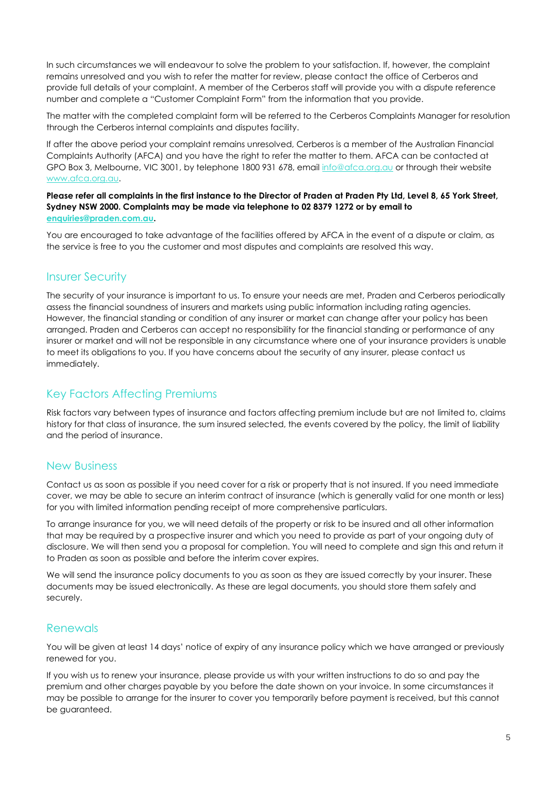In such circumstances we will endeavour to solve the problem to your satisfaction. If, however, the complaint remains unresolved and you wish to refer the matter for review, please contact the office of Cerberos and provide full details of your complaint. A member of the Cerberos staff will provide you with a dispute reference number and complete a "Customer Complaint Form" from the information that you provide.

The matter with the completed complaint form will be referred to the Cerberos Complaints Manager for resolution through the Cerberos internal complaints and disputes facility.

If after the above period your complaint remains unresolved, Cerberos is a member of the Australian Financial Complaints Authority (AFCA) and you have the right to refer the matter to them. AFCA can be contacted at GPO Box 3, Melbourne, VIC 3001, by telephone 1800 931 678, email [info@afca.org.au](mailto:info@afca.org.au) or through their website [www.afca.org.au.](http://www.afca.org.au/)

**Please refer all complaints in the first instance to the Director of Praden at Praden Pty Ltd, Level 8, 65 York Street, Sydney NSW 2000. Complaints may be made via telephone to 02 8379 1272 or by email to [enquiries@praden.com.au.](mailto:enquiries@praden.com.au)**

You are encouraged to take advantage of the facilities offered by AFCA in the event of a dispute or claim, as the service is free to you the customer and most disputes and complaints are resolved this way.

#### Insurer Security

The security of your insurance is important to us. To ensure your needs are met, Praden and Cerberos periodically assess the financial soundness of insurers and markets using public information including rating agencies. However, the financial standing or condition of any insurer or market can change after your policy has been arranged. Praden and Cerberos can accept no responsibility for the financial standing or performance of any insurer or market and will not be responsible in any circumstance where one of your insurance providers is unable to meet its obligations to you. If you have concerns about the security of any insurer, please contact us immediately.

#### Key Factors Affecting Premiums

Risk factors vary between types of insurance and factors affecting premium include but are not limited to, claims history for that class of insurance, the sum insured selected, the events covered by the policy, the limit of liability and the period of insurance.

#### New Business

Contact us as soon as possible if you need cover for a risk or property that is not insured. If you need immediate cover, we may be able to secure an interim contract of insurance (which is generally valid for one month or less) for you with limited information pending receipt of more comprehensive particulars.

To arrange insurance for you, we will need details of the property or risk to be insured and all other information that may be required by a prospective insurer and which you need to provide as part of your ongoing duty of disclosure. We will then send you a proposal for completion. You will need to complete and sign this and return it to Praden as soon as possible and before the interim cover expires.

We will send the insurance policy documents to you as soon as they are issued correctly by your insurer. These documents may be issued electronically. As these are legal documents, you should store them safely and securely.

#### Renewals

You will be given at least 14 days' notice of expiry of any insurance policy which we have arranged or previously renewed for you.

If you wish us to renew your insurance, please provide us with your written instructions to do so and pay the premium and other charges payable by you before the date shown on your invoice. In some circumstances it may be possible to arrange for the insurer to cover you temporarily before payment is received, but this cannot be guaranteed.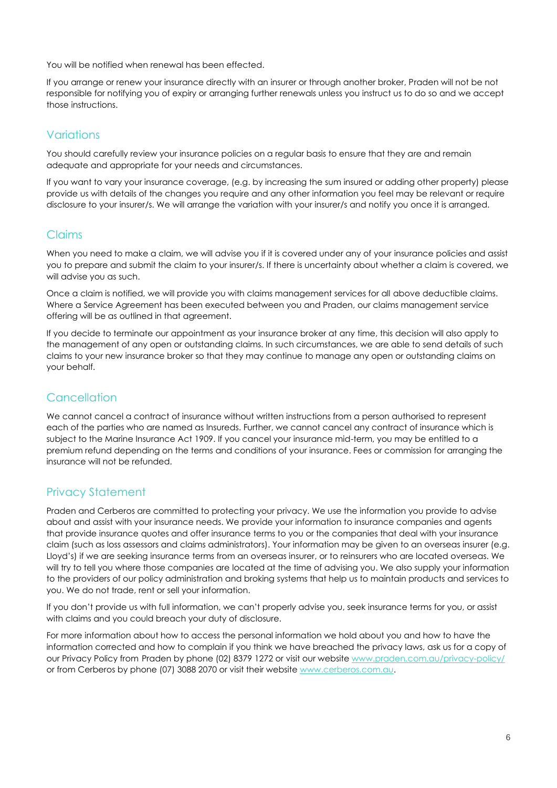You will be notified when renewal has been effected.

If you arrange or renew your insurance directly with an insurer or through another broker, Praden will not be not responsible for notifying you of expiry or arranging further renewals unless you instruct us to do so and we accept those instructions.

## Variations

You should carefully review your insurance policies on a regular basis to ensure that they are and remain adequate and appropriate for your needs and circumstances.

If you want to vary your insurance coverage, (e.g. by increasing the sum insured or adding other property) please provide us with details of the changes you require and any other information you feel may be relevant or require disclosure to your insurer/s. We will arrange the variation with your insurer/s and notify you once it is arranged.

#### Claims

When you need to make a claim, we will advise you if it is covered under any of your insurance policies and assist you to prepare and submit the claim to your insurer/s. If there is uncertainty about whether a claim is covered, we will advise you as such.

Once a claim is notified, we will provide you with claims management services for all above deductible claims. Where a Service Agreement has been executed between you and Praden, our claims management service offering will be as outlined in that agreement.

If you decide to terminate our appointment as your insurance broker at any time, this decision will also apply to the management of any open or outstanding claims. In such circumstances, we are able to send details of such claims to your new insurance broker so that they may continue to manage any open or outstanding claims on your behalf.

## **Cancellation**

We cannot cancel a contract of insurance without written instructions from a person authorised to represent each of the parties who are named as Insureds. Further, we cannot cancel any contract of insurance which is subject to the Marine Insurance Act 1909. If you cancel your insurance mid-term, you may be entitled to a premium refund depending on the terms and conditions of your insurance. Fees or commission for arranging the insurance will not be refunded.

#### Privacy Statement

Praden and Cerberos are committed to protecting your privacy. We use the information you provide to advise about and assist with your insurance needs. We provide your information to insurance companies and agents that provide insurance quotes and offer insurance terms to you or the companies that deal with your insurance claim (such as loss assessors and claims administrators). Your information may be given to an overseas insurer (e.g. Lloyd's) if we are seeking insurance terms from an overseas insurer, or to reinsurers who are located overseas. We will try to tell you where those companies are located at the time of advising you. We also supply your information to the providers of our policy administration and broking systems that help us to maintain products and services to you. We do not trade, rent or sell your information.

If you don't provide us with full information, we can't properly advise you, seek insurance terms for you, or assist with claims and you could breach your duty of disclosure.

For more information about how to access the personal information we hold about you and how to have the information corrected and how to complain if you think we have breached the privacy laws, ask us for a copy of our Privacy Policy from Praden by phone (02) 8379 1272 or visit our website [www.praden.com.au/privacy-policy/](http://www.praden.com.au/privacy-policy/) or from Cerberos by phone (07) 3088 2070 or visit their websit[e www.cerberos.com.au.](http://www.cerberos.com.au/)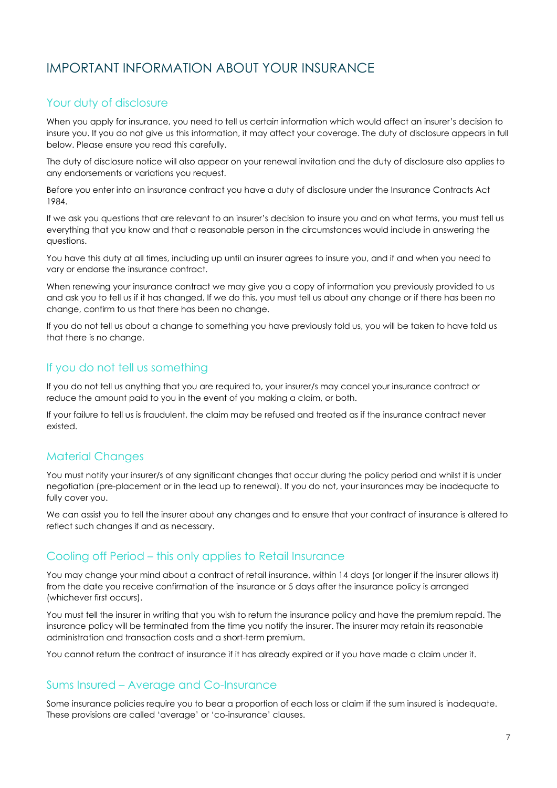# IMPORTANT INFORMATION ABOUT YOUR INSURANCE

## Your duty of disclosure

When you apply for insurance, you need to tell us certain information which would affect an insurer's decision to insure you. If you do not give us this information, it may affect your coverage. The duty of disclosure appears in full below. Please ensure you read this carefully.

The duty of disclosure notice will also appear on your renewal invitation and the duty of disclosure also applies to any endorsements or variations you request.

Before you enter into an insurance contract you have a duty of disclosure under the Insurance Contracts Act 1984.

If we ask you questions that are relevant to an insurer's decision to insure you and on what terms, you must tell us everything that you know and that a reasonable person in the circumstances would include in answering the questions.

You have this duty at all times, including up until an insurer agrees to insure you, and if and when you need to vary or endorse the insurance contract.

When renewing your insurance contract we may give you a copy of information you previously provided to us and ask you to tell us if it has changed. If we do this, you must tell us about any change or if there has been no change, confirm to us that there has been no change.

If you do not tell us about a change to something you have previously told us, you will be taken to have told us that there is no change.

## If you do not tell us something

If you do not tell us anything that you are required to, your insurer/s may cancel your insurance contract or reduce the amount paid to you in the event of you making a claim, or both.

If your failure to tell us is fraudulent, the claim may be refused and treated as if the insurance contract never existed.

#### Material Changes

You must notify your insurer/s of any significant changes that occur during the policy period and whilst it is under negotiation (pre-placement or in the lead up to renewal). If you do not, your insurances may be inadequate to fully cover you.

We can assist you to tell the insurer about any changes and to ensure that your contract of insurance is altered to reflect such changes if and as necessary.

#### Cooling off Period – this only applies to Retail Insurance

You may change your mind about a contract of retail insurance, within 14 days (or longer if the insurer allows it) from the date you receive confirmation of the insurance or 5 days after the insurance policy is arranged (whichever first occurs).

You must tell the insurer in writing that you wish to return the insurance policy and have the premium repaid. The insurance policy will be terminated from the time you notify the insurer. The insurer may retain its reasonable administration and transaction costs and a short-term premium.

You cannot return the contract of insurance if it has already expired or if you have made a claim under it.

#### Sums Insured – Average and Co-Insurance

Some insurance policies require you to bear a proportion of each loss or claim if the sum insured is inadequate. These provisions are called 'average' or 'co-insurance' clauses.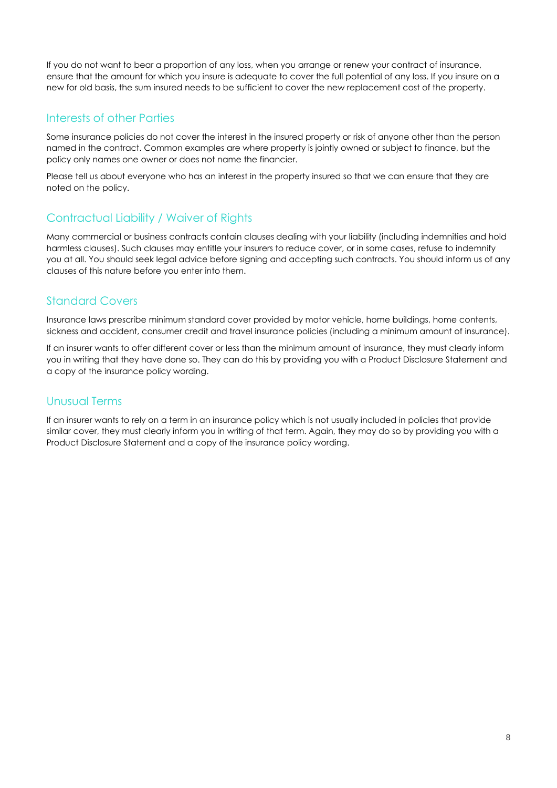If you do not want to bear a proportion of any loss, when you arrange or renew your contract of insurance, ensure that the amount for which you insure is adequate to cover the full potential of any loss. If you insure on a new for old basis, the sum insured needs to be sufficient to cover the new replacement cost of the property.

#### Interests of other Parties

Some insurance policies do not cover the interest in the insured property or risk of anyone other than the person named in the contract. Common examples are where property is jointly owned or subject to finance, but the policy only names one owner or does not name the financier.

Please tell us about everyone who has an interest in the property insured so that we can ensure that they are noted on the policy.

#### Contractual Liability / Waiver of Rights

Many commercial or business contracts contain clauses dealing with your liability (including indemnities and hold harmless clauses). Such clauses may entitle your insurers to reduce cover, or in some cases, refuse to indemnify you at all. You should seek legal advice before signing and accepting such contracts. You should inform us of any clauses of this nature before you enter into them.

#### Standard Covers

Insurance laws prescribe minimum standard cover provided by motor vehicle, home buildings, home contents, sickness and accident, consumer credit and travel insurance policies (including a minimum amount of insurance).

If an insurer wants to offer different cover or less than the minimum amount of insurance, they must clearly inform you in writing that they have done so. They can do this by providing you with a Product Disclosure Statement and a copy of the insurance policy wording.

## Unusual Terms

If an insurer wants to rely on a term in an insurance policy which is not usually included in policies that provide similar cover, they must clearly inform you in writing of that term. Again, they may do so by providing you with a Product Disclosure Statement and a copy of the insurance policy wording.